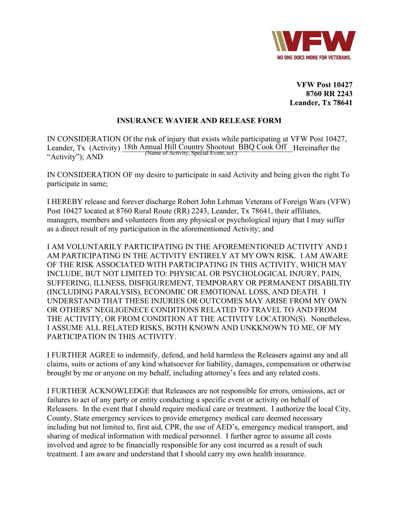

**VFW Post 10427 8760 RR 2243 Leander, Tx 78641** 

## **INSURANCE WAVIER AND RELEASE FORM**

IN CONSIDERATION Of the risk of injury that exists while participating at VFW Post 10427, Leander, Tx (Activity)  $\frac{18\text{th}$  Annual Hill Country Shootout BBQ Cook Off Hereinafter the  $\frac{18\text{th}}{18}$  Manne of Activity, Special Event, ect.) "Activity"); AND

IN CONSIDERATION OF my desire to participate in said Activity and being given the right To participate in same;

I HEREBY release and forever discharge Robert John Lehman Veterans of Foreign Wars (VFW) Post 10427 located at 8760 Rural Route (RR) 2243, Leander, Tx 78641, their affiliates, managers, members and volunteers from any physical or psychological injury that I may suffer as a direct result of my participation in the aforementioned Activity; and

I AM VOLUNTARILY PARTICIPATING IN THE AFOREMENTIONED ACTIVITY AND I AM PARTICIPATING IN THE ACTIVITY ENTIRELY AT MY OWN RISK. I AM AWARE OF THE RISK ASSOCIATED WITH PARTICIPATING IN THIS ACTIVITY, WHICH MAY INCLUDE, BUT NOT LIMITED TO: PHYSICAL OR PSYCHOLOGICAL INJURY, PAIN, SUFFERING, ILLNESS, DISFIGUREMENT, TEMPORARY OR PERMANENT DISABILTIY (INCLUDING PARALYSIS), ECONOMIC OR EMOTIONAL LOSS, AND DEATH. I UNDERSTAND THAT THESE INJURIES OR OUTCOMES MAY ARISE FROM MY OWN OR OTHERS' NEGLIGENECE CONDITIONS RELATED TO TRAVEL TO AND FROM THE ACTIVITY, OR FROM CONDITION AT THE ACTIVITY LOCATION(S). Nonetheless, I ASSUME ALL RELATED RISKS, BOTH KNOWN AND UNKKNOWN TO ME, OF MY PARTICIPATION IN THIS ACTIVITY.

I FURTHER AGREE to indemnify, defend, and hold harmless the Releasers against any and all claims, suits or actions of any kind whatsoever for liability, damages, compensation or otherwise brought by me or anyone on my behalf, including attorney's fees and any related costs.

I FURTHER ACKNOWLEDGE that Releasees are not responsible for errors, omissions, act or failures to act of any party or entity conducting a specific event or activity on behalf of Releasers. In the event that I should require medical care or treatment. I authorize the local City, County, State emergency services to provide emergency medical care deemed necessary including but not limited to, first aid, CPR, the use of AED's, emergency medical transport, and sharing of medical information with medical personnel. I further agree to assume all costs involved and agree to be financially responsible for any cost incurred as a result of such treatment. I am aware and understand that I should carry my own health insurance.